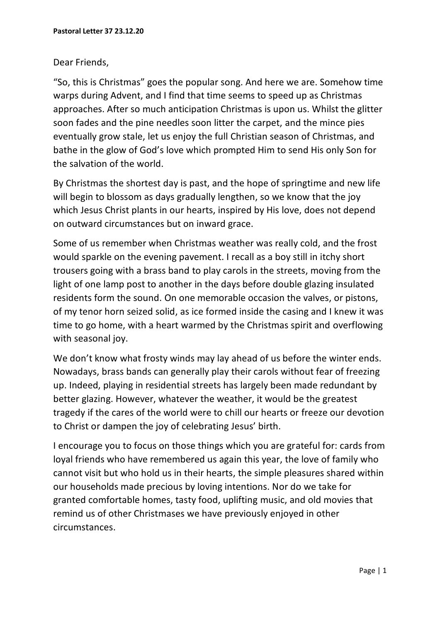## Dear Friends,

"So, this is Christmas" goes the popular song. And here we are. Somehow time warps during Advent, and I find that time seems to speed up as Christmas approaches. After so much anticipation Christmas is upon us. Whilst the glitter soon fades and the pine needles soon litter the carpet, and the mince pies eventually grow stale, let us enjoy the full Christian season of Christmas, and bathe in the glow of God's love which prompted Him to send His only Son for the salvation of the world.

By Christmas the shortest day is past, and the hope of springtime and new life will begin to blossom as days gradually lengthen, so we know that the joy which Jesus Christ plants in our hearts, inspired by His love, does not depend on outward circumstances but on inward grace.

Some of us remember when Christmas weather was really cold, and the frost would sparkle on the evening pavement. I recall as a boy still in itchy short trousers going with a brass band to play carols in the streets, moving from the light of one lamp post to another in the days before double glazing insulated residents form the sound. On one memorable occasion the valves, or pistons, of my tenor horn seized solid, as ice formed inside the casing and I knew it was time to go home, with a heart warmed by the Christmas spirit and overflowing with seasonal joy.

We don't know what frosty winds may lay ahead of us before the winter ends. Nowadays, brass bands can generally play their carols without fear of freezing up. Indeed, playing in residential streets has largely been made redundant by better glazing. However, whatever the weather, it would be the greatest tragedy if the cares of the world were to chill our hearts or freeze our devotion to Christ or dampen the joy of celebrating Jesus' birth.

I encourage you to focus on those things which you are grateful for: cards from loyal friends who have remembered us again this year, the love of family who cannot visit but who hold us in their hearts, the simple pleasures shared within our households made precious by loving intentions. Nor do we take for granted comfortable homes, tasty food, uplifting music, and old movies that remind us of other Christmases we have previously enjoyed in other circumstances.